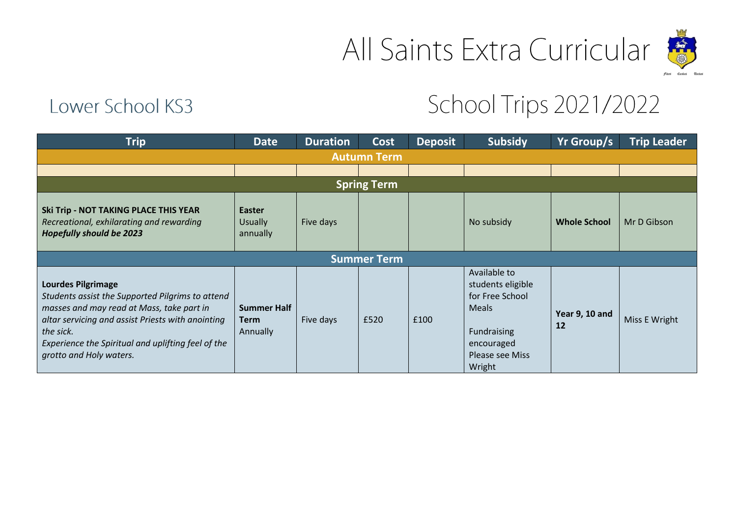



## Lower School KS3

## School Trips 2021/2022

| <b>Trip</b>                                                                                                                                                                                                                                                                   | <b>Date</b>                                   | <b>Duration</b> | Cost               | <b>Deposit</b> | <b>Subsidy</b>                                                                                                                        | Yr Group/s           | <b>Trip Leader</b> |  |  |  |
|-------------------------------------------------------------------------------------------------------------------------------------------------------------------------------------------------------------------------------------------------------------------------------|-----------------------------------------------|-----------------|--------------------|----------------|---------------------------------------------------------------------------------------------------------------------------------------|----------------------|--------------------|--|--|--|
| <b>Autumn Term</b>                                                                                                                                                                                                                                                            |                                               |                 |                    |                |                                                                                                                                       |                      |                    |  |  |  |
|                                                                                                                                                                                                                                                                               |                                               |                 |                    |                |                                                                                                                                       |                      |                    |  |  |  |
| <b>Spring Term</b>                                                                                                                                                                                                                                                            |                                               |                 |                    |                |                                                                                                                                       |                      |                    |  |  |  |
| <b>Ski Trip - NOT TAKING PLACE THIS YEAR</b><br>Recreational, exhilarating and rewarding<br><b>Hopefully should be 2023</b>                                                                                                                                                   | <b>Easter</b><br><b>Usually</b><br>annually   | Five days       |                    |                | No subsidy                                                                                                                            | <b>Whole School</b>  | Mr D Gibson        |  |  |  |
|                                                                                                                                                                                                                                                                               |                                               |                 | <b>Summer Term</b> |                |                                                                                                                                       |                      |                    |  |  |  |
| <b>Lourdes Pilgrimage</b><br>Students assist the Supported Pilgrims to attend<br>masses and may read at Mass, take part in<br>altar servicing and assist Priests with anointing<br>the sick.<br>Experience the Spiritual and uplifting feel of the<br>grotto and Holy waters. | <b>Summer Half</b><br><b>Term</b><br>Annually | Five days       | £520               | £100           | Available to<br>students eligible<br>for Free School<br><b>Meals</b><br>Fundraising<br>encouraged<br><b>Please see Miss</b><br>Wright | Year 9, 10 and<br>12 | Miss E Wright      |  |  |  |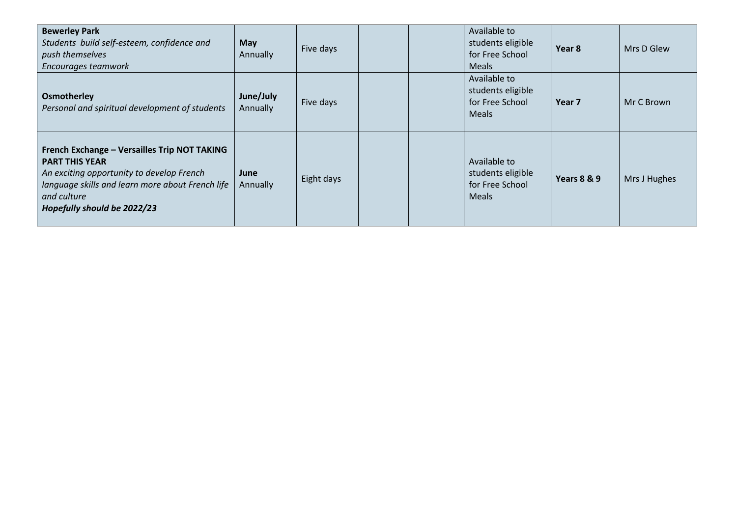| <b>Bewerley Park</b><br>Students build self-esteem, confidence and<br>push themselves<br>Encourages teamwork                                                                                                         | <b>May</b><br>Annually | Five days  |  | Available to<br>students eligible<br>for Free School<br><b>Meals</b> | Year 8      | Mrs D Glew   |
|----------------------------------------------------------------------------------------------------------------------------------------------------------------------------------------------------------------------|------------------------|------------|--|----------------------------------------------------------------------|-------------|--------------|
| Osmotherley<br>Personal and spiritual development of students                                                                                                                                                        | June/July<br>Annually  | Five days  |  | Available to<br>students eligible<br>for Free School<br><b>Meals</b> | Year 7      | Mr C Brown   |
| French Exchange - Versailles Trip NOT TAKING<br><b>PART THIS YEAR</b><br>An exciting opportunity to develop French<br>language skills and learn more about French life<br>and culture<br>Hopefully should be 2022/23 | June<br>Annually       | Eight days |  | Available to<br>students eligible<br>for Free School<br><b>Meals</b> | Years 8 & 9 | Mrs J Hughes |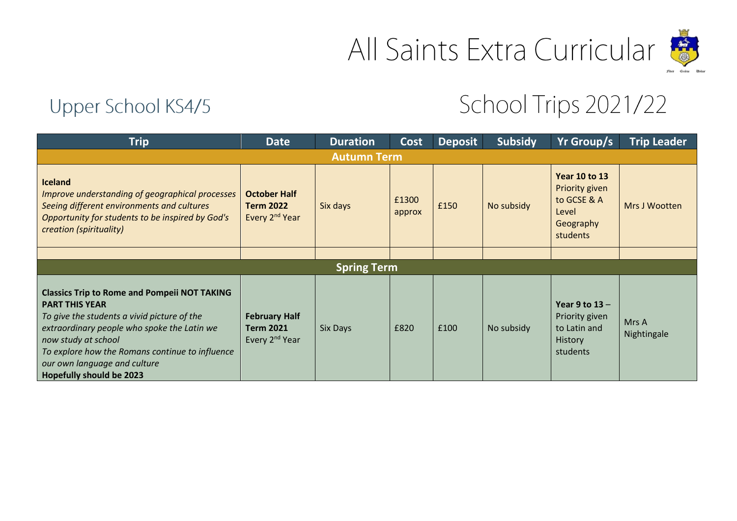

## Upper School KS4/5

## School Trips 2021/22

| <b>Trip</b>                                                                                                                                                                                                                                                                                                             | <b>Date</b>                                                            | <b>Duration</b> | Cost            | <b>Deposit</b> | <b>Subsidy</b> | Yr Group/s                                                                              | <b>Trip Leader</b>   |  |  |
|-------------------------------------------------------------------------------------------------------------------------------------------------------------------------------------------------------------------------------------------------------------------------------------------------------------------------|------------------------------------------------------------------------|-----------------|-----------------|----------------|----------------|-----------------------------------------------------------------------------------------|----------------------|--|--|
| <b>Autumn Term</b>                                                                                                                                                                                                                                                                                                      |                                                                        |                 |                 |                |                |                                                                                         |                      |  |  |
| <b>Iceland</b><br>Improve understanding of geographical processes<br>Seeing different environments and cultures<br>Opportunity for students to be inspired by God's<br>creation (spirituality)                                                                                                                          | <b>October Half</b><br><b>Term 2022</b><br>Every 2 <sup>nd</sup> Year  | Six days        | £1300<br>approx | £150           | No subsidy     | <b>Year 10 to 13</b><br>Priority given<br>to GCSE & A<br>Level<br>Geography<br>students | Mrs J Wootten        |  |  |
|                                                                                                                                                                                                                                                                                                                         |                                                                        |                 |                 |                |                |                                                                                         |                      |  |  |
| <b>Spring Term</b>                                                                                                                                                                                                                                                                                                      |                                                                        |                 |                 |                |                |                                                                                         |                      |  |  |
| <b>Classics Trip to Rome and Pompeii NOT TAKING</b><br><b>PART THIS YEAR</b><br>To give the students a vivid picture of the<br>extraordinary people who spoke the Latin we<br>now study at school<br>To explore how the Romans continue to influence<br>our own language and culture<br><b>Hopefully should be 2023</b> | <b>February Half</b><br><b>Term 2021</b><br>Every 2 <sup>nd</sup> Year | Six Days        | £820            | £100           | No subsidy     | Year $9$ to $13 -$<br>Priority given<br>to Latin and<br>History<br>students             | Mrs A<br>Nightingale |  |  |